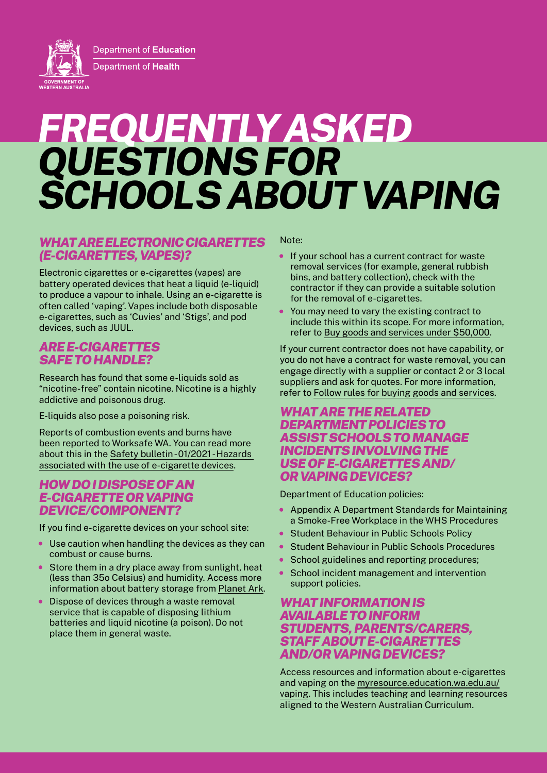Department of Education Department of Health

**GOVERNMENT OF**<br>WESTERN AUSTRALIA

# *FREQUENTLY ASKED QUESTIONS FOR SCHOOLS ABOUT VAPING*

#### *WHAT ARE ELECTRONIC CIGARETTES (E-CIGARETTES, VAPES)?*

Electronic cigarettes or e-cigarettes (vapes) are battery operated devices that heat a liquid (e-liquid) to produce a vapour to inhale. Using an e-cigarette is often called 'vaping'. Vapes include both disposable e-cigarettes, such as 'Cuvies' and 'Stigs', and pod devices, such as JUUL.

## *ARE E-CIGARETTES SAFE TO HANDLE?*

Research has found that some e-liquids sold as "nicotine-free" contain nicotine. Nicotine is a highly addictive and poisonous drug.

E-liquids also pose a poisoning risk.

Reports of combustion events and burns have been reported to Worksafe WA. You can read more about this in the [Safety bulletin - 01/2021 - Hazards](https://www.commerce.wa.gov.au/publications/safety-bulletin-012021-hazards-associated-use-e-cigarette-devices)  [associated with the use of e-cigarette devices](https://www.commerce.wa.gov.au/publications/safety-bulletin-012021-hazards-associated-use-e-cigarette-devices).

### *HOW DO I DISPOSE OF AN E-CIGARETTE OR VAPING DEVICE/COMPONENT?*

If you find e-cigarette devices on your school site:

- Use caution when handling the devices as they can combust or cause burns.
- Store them in a dry place away from sunlight, heat (less than 35o Celsius) and humidity. Access more information about battery storage from [Planet Ark.](https://recyclingnearyou.com.au/batteries/)
- Dispose of devices through a waste removal service that is capable of disposing lithium batteries and liquid nicotine (a poison). Do not place them in general waste.

Note:

- If your school has a current contract for waste removal services (for example, general rubbish bins, and battery collection), check with the contractor if they can provide a suitable solution for the removal of e-cigarettes.
- You may need to vary the existing contract to include this within its scope. For more information, refer to [Buy goods and services under \\$50,000](https://ikon.education.wa.edu.au/-/buy-goods-and-services-under-50-000/).

If your current contractor does not have capability, or you do not have a contract for waste removal, you can engage directly with a supplier or contact 2 or 3 local suppliers and ask for quotes. For more information, refer to [Follow rules for buying goods and services](https://ikon.education.wa.edu.au/-/follow-rules-for-buying-goods-and-services/#toc1).

#### *WHAT ARE THE RELATED DEPARTMENT POLICIES TO ASSIST SCHOOLS TO MANAGE INCIDENTS INVOLVING THE USE OF E-CIGARETTES AND/ OR VAPING DEVICES?*

Department of Education policies:

- Appendix A Department Standards for Maintaining a Smoke-Free Workplace in the WHS Procedures
- Student Behaviour in Public Schools Policy
- Student Behaviour in Public Schools Procedures
- School guidelines and reporting procedures;
- School incident management and intervention support policies.

#### *WHAT INFORMATION IS AVAILABLE TO INFORM STUDENTS, PARENTS/CARERS, STAFF ABOUT E-CIGARETTES AND/OR VAPING DEVICES?*

Access resources and information about e-cigarettes and vaping on the [myresource.education.wa.edu.au/](http://myresource.education.wa.edu.au/vaping) [vaping.](http://myresource.education.wa.edu.au/vaping) This includes teaching and learning resources aligned to the Western Australian Curriculum.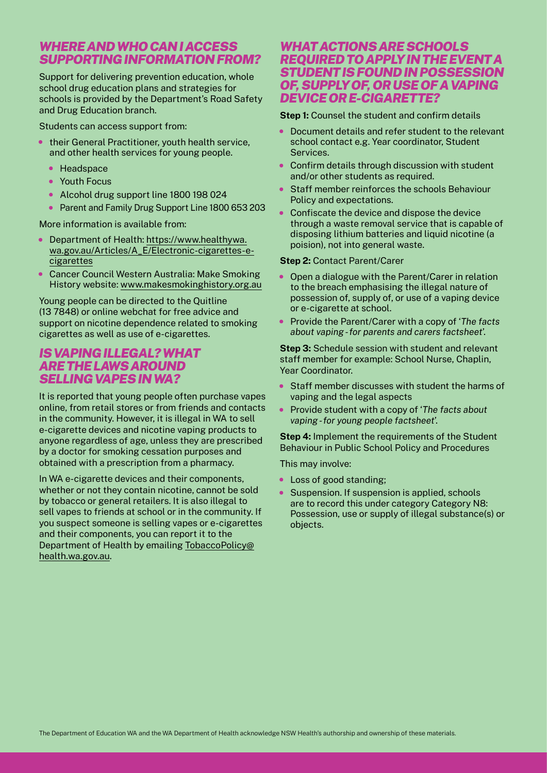#### *WHERE AND WHO CAN I ACCESS SUPPORTING INFORMATION FROM?*

Support for delivering prevention education, whole school drug education plans and strategies for schools is provided by the Department's Road Safety and Drug Education branch.

Students can access support from:

- their General Practitioner, youth health service, and other health services for young people.
	- Headspace
	- Youth Focus
	- Alcohol drug support line 1800 198 024
	- Parent and Family Drug Support Line 1800 653 203

More information is available from:

- Department of Health: [https://www.healthywa.](https://www.healthywa.wa.gov.au/Articles/A_E/Electronic-cigarettes-e-cigarettes) [wa.gov.au/Articles/A\\_E/Electronic-cigarettes-e](https://www.healthywa.wa.gov.au/Articles/A_E/Electronic-cigarettes-e-cigarettes)[cigarettes](https://www.healthywa.wa.gov.au/Articles/A_E/Electronic-cigarettes-e-cigarettes)
- Cancer Council Western Australia: Make Smoking History website: [www.makesmokinghistory.org.au](http://www.makesmokinghistory.org.au)

Young people can be directed to the Quitline (13 7848) or online webchat for free advice and support on nicotine dependence related to smoking cigarettes as well as use of e-cigarettes.

#### *IS VAPING ILLEGAL? WHAT ARE THE LAWS AROUND SELLING VAPES IN WA?*

It is reported that young people often purchase vapes online, from retail stores or from friends and contacts in the community. However, it is illegal in WA to sell e-cigarette devices and nicotine vaping products to anyone regardless of age, unless they are prescribed by a doctor for smoking cessation purposes and obtained with a prescription from a pharmacy.

In WA e-cigarette devices and their components, whether or not they contain nicotine, cannot be sold by tobacco or general retailers. It is also illegal to sell vapes to friends at school or in the community. If you suspect someone is selling vapes or e-cigarettes and their components, you can report it to the Department of Health by emailing [TobaccoPolicy@](mailto:TobaccoPolicy%40health.wa.gov.au?subject=) [health.wa.gov.au.](mailto:TobaccoPolicy%40health.wa.gov.au?subject=)

#### *WHAT ACTIONS ARE SCHOOLS REQUIRED TO APPLY IN THE EVENT A STUDENT IS FOUND IN POSSESSION OF, SUPPLY OF, OR USE OF A VAPING DEVICE OR E-CIGARETTE?*

**Step 1:** Counsel the student and confirm details

- Document details and refer student to the relevant school contact e.g. Year coordinator, Student Services.
- Confirm details through discussion with student and/or other students as required.
- Staff member reinforces the schools Behaviour Policy and expectations.
- Confiscate the device and dispose the device through a waste removal service that is capable of disposing lithium batteries and liquid nicotine (a poision), not into general waste.

#### **Step 2:** Contact Parent/Carer

- Open a dialogue with the Parent/Carer in relation to the breach emphasising the illegal nature of possession of, supply of, or use of a vaping device or e-cigarette at school.
- Provide the Parent/Carer with a copy of '*The facts about vaping - for parents and carers factsheet*'.

**Step 3:** Schedule session with student and relevant staff member for example: School Nurse, Chaplin, Year Coordinator.

- Staff member discusses with student the harms of vaping and the legal aspects
- Provide student with a copy of '*The facts about vaping - for young people factsheet*'.

**Step 4:** Implement the requirements of the Student Behaviour in Public School Policy and Procedures

This may involve:

- Loss of good standing;
- Suspension. If suspension is applied, schools are to record this under category Category N8: Possession, use or supply of illegal substance(s) or objects.